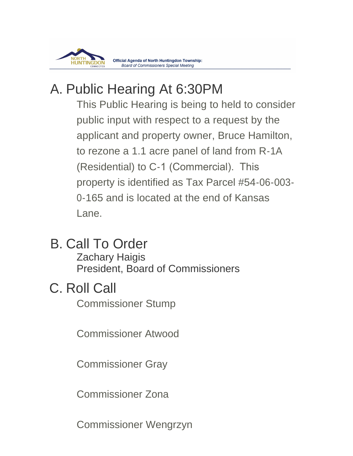

# A. Public Hearing At 6:30PM

This Public Hearing is being to held to consider public input with respect to a request by the applicant and property owner, Bruce Hamilton, to rezone a 1.1 acre panel of land from R-1A (Residential) to C-1 (Commercial). This property is identified as Tax Parcel #54-06-003- 0-165 and is located at the end of Kansas Lane.

B. Call To Order

Zachary Haigis President, Board of Commissioners

# C. Roll Call

Commissioner Stump

Commissioner Atwood

Commissioner Gray

Commissioner Zona

Commissioner Wengrzyn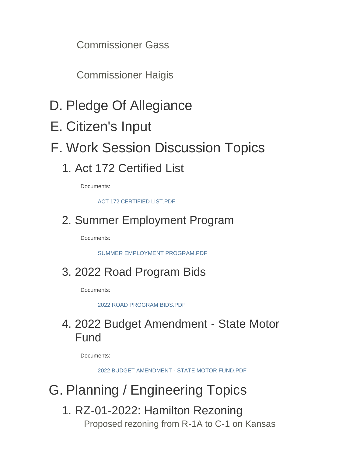Commissioner Gass

Commissioner Haigis

- D. Pledge Of Allegiance
- E. Citizen's Input
- F. Work Session Discussion Topics

## 1. Act 172 Certified List

Documents:

[ACT 172 CERTIFIED LIST.PDF](https://www.township.north-huntingdon.pa.us/AgendaCenter/ViewFile/Item/3774?fileID=3152)

## 2. Summer Employment Program

Documents:

[SUMMER EMPLOYMENT PROGRAM.PDF](https://www.township.north-huntingdon.pa.us/AgendaCenter/ViewFile/Item/3775?fileID=3153)

## 2022 Road Program Bids 3.

Documents:

[2022 ROAD PROGRAM BIDS.PDF](https://www.township.north-huntingdon.pa.us/AgendaCenter/ViewFile/Item/3776?fileID=3154)

### 2022 Budget Amendment - State Motor 4. Fund

Documents:

[2022 BUDGET AMENDMENT - STATE MOTOR FUND.PDF](https://www.township.north-huntingdon.pa.us/AgendaCenter/ViewFile/Item/3777?fileID=3155)

# G. Planning / Engineering Topics

1. RZ-01-2022: Hamilton Rezoning Proposed rezoning from R-1A to C-1 on Kansas